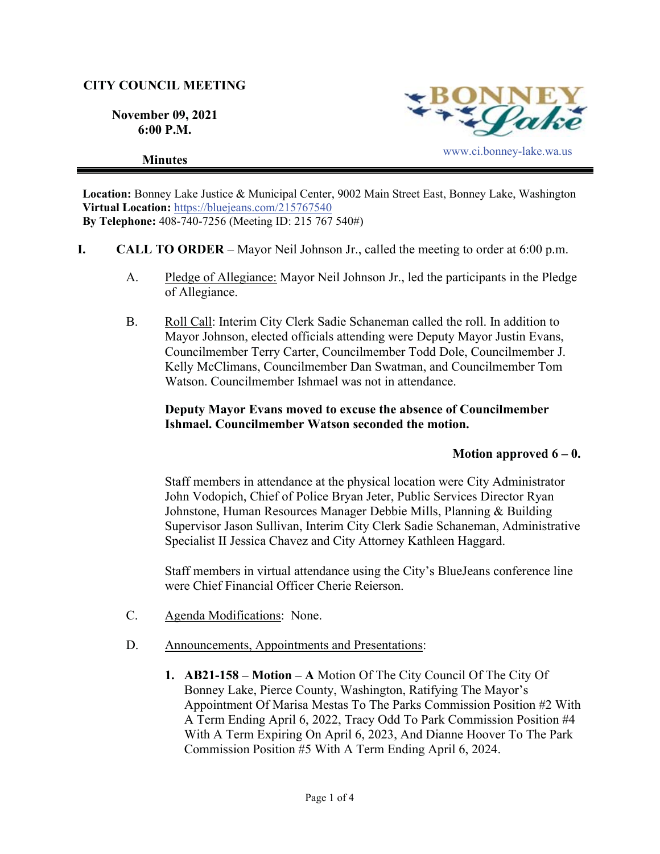## **CITY COUNCIL MEETING**

**November 09, 2021 6:00 P.M.** 





**Location:** Bonney Lake Justice & Municipal Center, 9002 Main Street East, Bonney Lake, Washington **Virtual Location:** https://bluejeans.com/215767540 **By Telephone:** 408-740-7256 (Meeting ID: 215 767 540#)

- **I. CALL TO ORDER**  Mayor Neil Johnson Jr., called the meeting to order at 6:00 p.m.
	- A. Pledge of Allegiance: Mayor Neil Johnson Jr., led the participants in the Pledge of Allegiance.
	- B. Roll Call: Interim City Clerk Sadie Schaneman called the roll. In addition to Mayor Johnson, elected officials attending were Deputy Mayor Justin Evans, Councilmember Terry Carter, Councilmember Todd Dole, Councilmember J. Kelly McClimans, Councilmember Dan Swatman, and Councilmember Tom Watson. Councilmember Ishmael was not in attendance.

## **Deputy Mayor Evans moved to excuse the absence of Councilmember Ishmael. Councilmember Watson seconded the motion.**

### **Motion approved 6 – 0.**

Staff members in attendance at the physical location were City Administrator John Vodopich, Chief of Police Bryan Jeter, Public Services Director Ryan Johnstone, Human Resources Manager Debbie Mills, Planning & Building Supervisor Jason Sullivan, Interim City Clerk Sadie Schaneman, Administrative Specialist II Jessica Chavez and City Attorney Kathleen Haggard.

Staff members in virtual attendance using the City's BlueJeans conference line were Chief Financial Officer Cherie Reierson.

- C. Agenda Modifications: None.
- D. Announcements, Appointments and Presentations:
	- **1. AB21-158 Motion A** Motion Of The City Council Of The City Of Bonney Lake, Pierce County, Washington, Ratifying The Mayor's Appointment Of Marisa Mestas To The Parks Commission Position #2 With A Term Ending April 6, 2022, Tracy Odd To Park Commission Position #4 With A Term Expiring On April 6, 2023, And Dianne Hoover To The Park Commission Position #5 With A Term Ending April 6, 2024.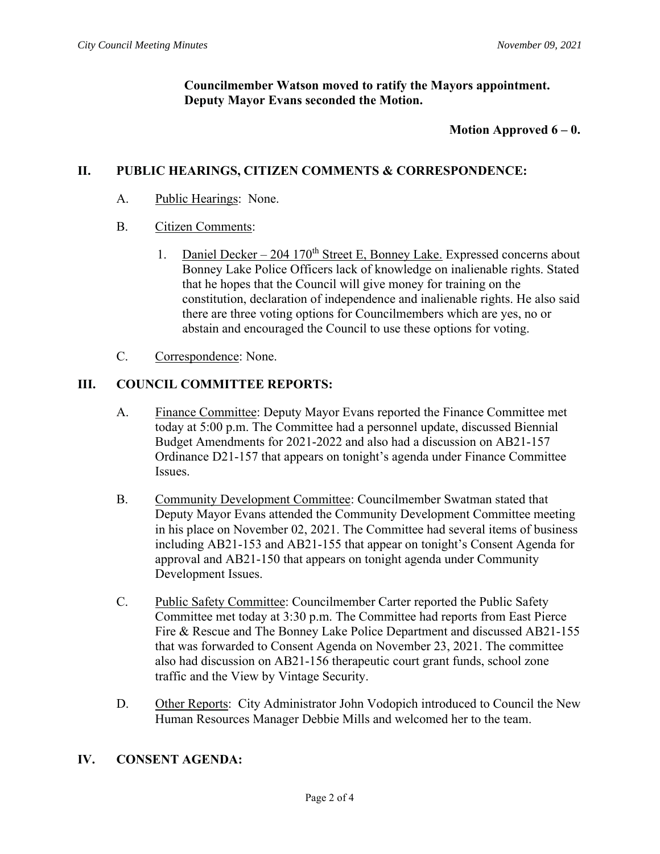**Councilmember Watson moved to ratify the Mayors appointment. Deputy Mayor Evans seconded the Motion.**

### **Motion Approved 6 – 0.**

## **II. PUBLIC HEARINGS, CITIZEN COMMENTS & CORRESPONDENCE:**

A. Public Hearings: None.

### B. Citizen Comments:

- 1. Daniel Decker 204 170<sup>th</sup> Street E, Bonney Lake. Expressed concerns about Bonney Lake Police Officers lack of knowledge on inalienable rights. Stated that he hopes that the Council will give money for training on the constitution, declaration of independence and inalienable rights. He also said there are three voting options for Councilmembers which are yes, no or abstain and encouraged the Council to use these options for voting.
- C. Correspondence: None.

## **III. COUNCIL COMMITTEE REPORTS:**

- A. Finance Committee: Deputy Mayor Evans reported the Finance Committee met today at 5:00 p.m. The Committee had a personnel update, discussed Biennial Budget Amendments for 2021-2022 and also had a discussion on AB21-157 Ordinance D21-157 that appears on tonight's agenda under Finance Committee Issues.
- B. Community Development Committee: Councilmember Swatman stated that Deputy Mayor Evans attended the Community Development Committee meeting in his place on November 02, 2021. The Committee had several items of business including AB21-153 and AB21-155 that appear on tonight's Consent Agenda for approval and AB21-150 that appears on tonight agenda under Community Development Issues.
- C. Public Safety Committee: Councilmember Carter reported the Public Safety Committee met today at 3:30 p.m. The Committee had reports from East Pierce Fire & Rescue and The Bonney Lake Police Department and discussed AB21-155 that was forwarded to Consent Agenda on November 23, 2021. The committee also had discussion on AB21-156 therapeutic court grant funds, school zone traffic and the View by Vintage Security.
- D. Other Reports: City Administrator John Vodopich introduced to Council the New Human Resources Manager Debbie Mills and welcomed her to the team.

# **IV. CONSENT AGENDA:**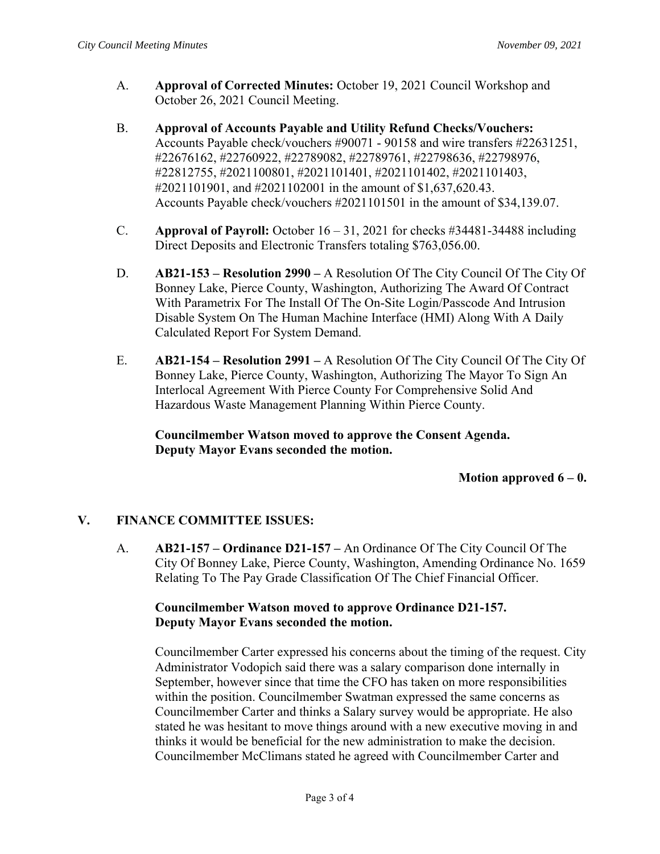- A. **Approval of Corrected Minutes:** October 19, 2021 Council Workshop and October 26, 2021 Council Meeting.
- B. **Approval of Accounts Payable and Utility Refund Checks/Vouchers:**  Accounts Payable check/vouchers #90071 - 90158 and wire transfers #22631251, #22676162, #22760922, #22789082, #22789761, #22798636, #22798976, #22812755, #2021100801, #2021101401, #2021101402, #2021101403, #2021101901, and #2021102001 in the amount of \$1,637,620.43. Accounts Payable check/vouchers #2021101501 in the amount of \$34,139.07.
- C. **Approval of Payroll:** October 16 31, 2021 for checks #34481-34488 including Direct Deposits and Electronic Transfers totaling \$763,056.00.
- D. **AB21-153 Resolution 2990** A Resolution Of The City Council Of The City Of Bonney Lake, Pierce County, Washington, Authorizing The Award Of Contract With Parametrix For The Install Of The On-Site Login/Passcode And Intrusion Disable System On The Human Machine Interface (HMI) Along With A Daily Calculated Report For System Demand.
- E. **AB21-154 Resolution 2991** A Resolution Of The City Council Of The City Of Bonney Lake, Pierce County, Washington, Authorizing The Mayor To Sign An Interlocal Agreement With Pierce County For Comprehensive Solid And Hazardous Waste Management Planning Within Pierce County.

**Councilmember Watson moved to approve the Consent Agenda. Deputy Mayor Evans seconded the motion.**

### **Motion approved 6 – 0.**

### **V. FINANCE COMMITTEE ISSUES:**

A. **AB21-157 – Ordinance D21-157 –** An Ordinance Of The City Council Of The City Of Bonney Lake, Pierce County, Washington, Amending Ordinance No. 1659 Relating To The Pay Grade Classification Of The Chief Financial Officer.

## **Councilmember Watson moved to approve Ordinance D21-157. Deputy Mayor Evans seconded the motion.**

Councilmember Carter expressed his concerns about the timing of the request. City Administrator Vodopich said there was a salary comparison done internally in September, however since that time the CFO has taken on more responsibilities within the position. Councilmember Swatman expressed the same concerns as Councilmember Carter and thinks a Salary survey would be appropriate. He also stated he was hesitant to move things around with a new executive moving in and thinks it would be beneficial for the new administration to make the decision. Councilmember McClimans stated he agreed with Councilmember Carter and